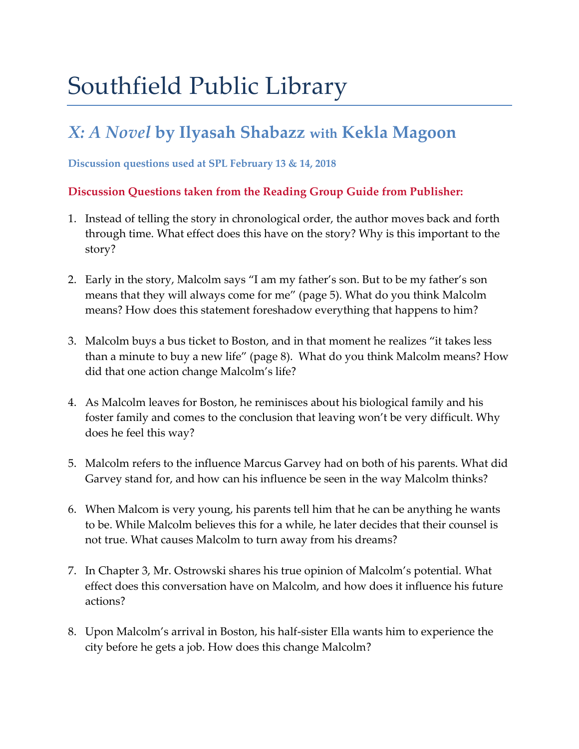# Southfield Public Library

# *X: A Novel* **by Ilyasah Shabazz with Kekla Magoon**

**Discussion questions used at SPL February 13 & 14, 2018**

### **Discussion Questions taken from the Reading Group Guide from Publisher:**

- 1. Instead of telling the story in chronological order, the author moves back and forth through time. What effect does this have on the story? Why is this important to the story?
- 2. Early in the story, Malcolm says "I am my father's son. But to be my father's son means that they will always come for me" (page 5). What do you think Malcolm means? How does this statement foreshadow everything that happens to him?
- 3. Malcolm buys a bus ticket to Boston, and in that moment he realizes "it takes less than a minute to buy a new life" (page 8). What do you think Malcolm means? How did that one action change Malcolm's life?
- 4. As Malcolm leaves for Boston, he reminisces about his biological family and his foster family and comes to the conclusion that leaving won't be very difficult. Why does he feel this way?
- 5. Malcolm refers to the influence Marcus Garvey had on both of his parents. What did Garvey stand for, and how can his influence be seen in the way Malcolm thinks?
- 6. When Malcom is very young, his parents tell him that he can be anything he wants to be. While Malcolm believes this for a while, he later decides that their counsel is not true. What causes Malcolm to turn away from his dreams?
- 7. In Chapter 3, Mr. Ostrowski shares his true opinion of Malcolm's potential. What effect does this conversation have on Malcolm, and how does it influence his future actions?
- 8. Upon Malcolm's arrival in Boston, his half-sister Ella wants him to experience the city before he gets a job. How does this change Malcolm?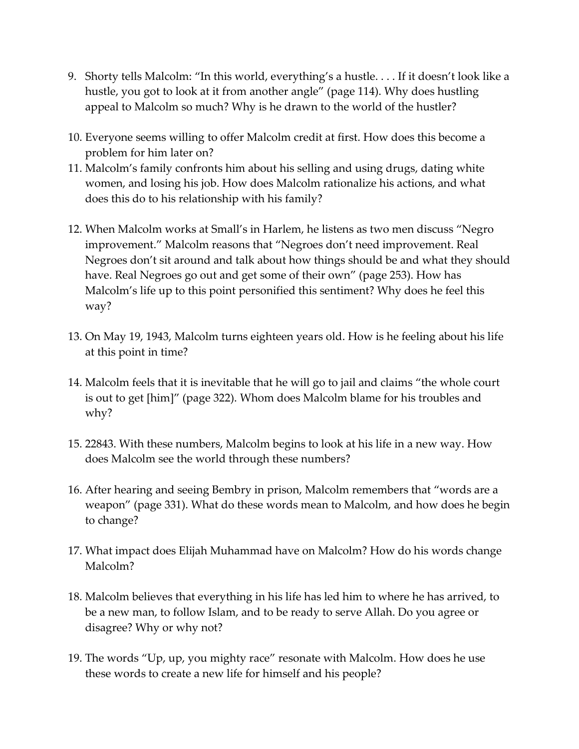- 9. Shorty tells Malcolm: "In this world, everything's a hustle. . . . If it doesn't look like a hustle, you got to look at it from another angle" (page 114). Why does hustling appeal to Malcolm so much? Why is he drawn to the world of the hustler?
- 10. Everyone seems willing to offer Malcolm credit at first. How does this become a problem for him later on?
- 11. Malcolm's family confronts him about his selling and using drugs, dating white women, and losing his job. How does Malcolm rationalize his actions, and what does this do to his relationship with his family?
- 12. When Malcolm works at Small's in Harlem, he listens as two men discuss "Negro improvement." Malcolm reasons that "Negroes don't need improvement. Real Negroes don't sit around and talk about how things should be and what they should have. Real Negroes go out and get some of their own" (page 253). How has Malcolm's life up to this point personified this sentiment? Why does he feel this way?
- 13. On May 19, 1943, Malcolm turns eighteen years old. How is he feeling about his life at this point in time?
- 14. Malcolm feels that it is inevitable that he will go to jail and claims "the whole court is out to get [him]" (page 322). Whom does Malcolm blame for his troubles and why?
- 15. 22843. With these numbers, Malcolm begins to look at his life in a new way. How does Malcolm see the world through these numbers?
- 16. After hearing and seeing Bembry in prison, Malcolm remembers that "words are a weapon" (page 331). What do these words mean to Malcolm, and how does he begin to change?
- 17. What impact does Elijah Muhammad have on Malcolm? How do his words change Malcolm?
- 18. Malcolm believes that everything in his life has led him to where he has arrived, to be a new man, to follow Islam, and to be ready to serve Allah. Do you agree or disagree? Why or why not?
- 19. The words "Up, up, you mighty race" resonate with Malcolm. How does he use these words to create a new life for himself and his people?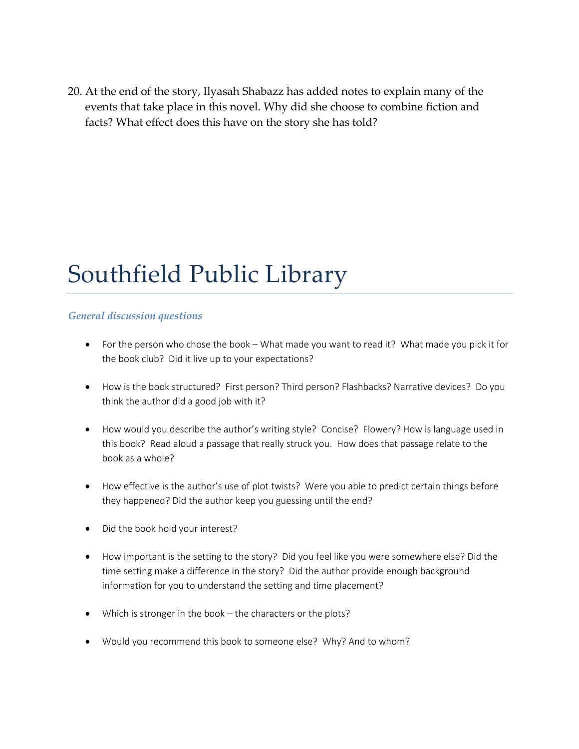20. At the end of the story, Ilyasah Shabazz has added notes to explain many of the events that take place in this novel. Why did she choose to combine fiction and facts? What effect does this have on the story she has told?

# Southfield Public Library

#### *General discussion questions*

- For the person who chose the book What made you want to read it? What made you pick it for the book club? Did it live up to your expectations?
- How is the book structured? First person? Third person? Flashbacks? Narrative devices? Do you think the author did a good job with it?
- How would you describe the author's writing style? Concise? Flowery? How is language used in this book? Read aloud a passage that really struck you. How does that passage relate to the book as a whole?
- How effective is the author's use of plot twists? Were you able to predict certain things before they happened? Did the author keep you guessing until the end?
- Did the book hold your interest?
- How important is the setting to the story? Did you feel like you were somewhere else? Did the time setting make a difference in the story? Did the author provide enough background information for you to understand the setting and time placement?
- Which is stronger in the book the characters or the plots?
- Would you recommend this book to someone else? Why? And to whom?